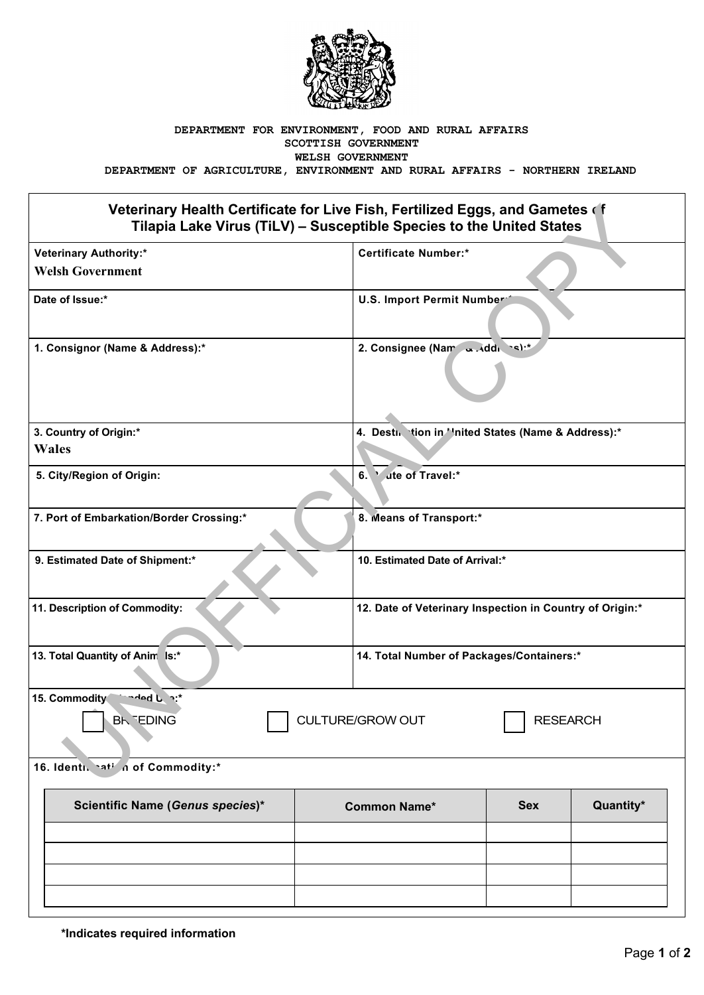

## **DEPARTMENT FOR ENVIRONMENT, FOOD AND RURAL AFFAIRS SCOTTISH GOVERNMENT WELSH GOVERNMENT**

**DEPARTMENT OF AGRICULTURE, ENVIRONMENT AND RURAL AFFAIRS - NORTHERN IRELAND**

## **Veterinary Health Certificate for Live Fish, Fertilized Eggs, and Gametes of Tilapia Lake Virus (TiLV) – Susceptible Species to the United States**

| Veterinary Health Certificate for Live Fish, Fertilized Eggs, and Gametes of<br>Tilapia Lake Virus (TiLV) - Susceptible Species to the United States |                     |                                                          |            |           |  |  |
|------------------------------------------------------------------------------------------------------------------------------------------------------|---------------------|----------------------------------------------------------|------------|-----------|--|--|
| <b>Veterinary Authority:*</b>                                                                                                                        |                     | <b>Certificate Number:*</b>                              |            |           |  |  |
| <b>Welsh Government</b>                                                                                                                              |                     |                                                          |            |           |  |  |
| Date of Issue:*                                                                                                                                      |                     | U.S. Import Permit Number                                |            |           |  |  |
| 1. Consignor (Name & Address):*                                                                                                                      |                     | 2. Consignee (Nam and di cs):*                           |            |           |  |  |
| 3. Country of Origin:*                                                                                                                               |                     | 4. Destin tion in ''nited States (Name & Address):*      |            |           |  |  |
| <b>Wales</b>                                                                                                                                         |                     |                                                          |            |           |  |  |
| 5. City/Region of Origin:                                                                                                                            |                     | 6.<br>ute of Travel:*                                    |            |           |  |  |
| 7. Port of Embarkation/Border Crossing:*                                                                                                             |                     | 8. Means of Transport:*                                  |            |           |  |  |
| 9. Estimated Date of Shipment:*                                                                                                                      |                     | 10. Estimated Date of Arrival:*                          |            |           |  |  |
| 11. Description of Commodity:                                                                                                                        |                     | 12. Date of Veterinary Inspection in Country of Origin:* |            |           |  |  |
| 13. Total Quantity of Anim Is:*                                                                                                                      |                     | 14. Total Number of Packages/Containers:*                |            |           |  |  |
| 15. Commodity<br>$A = 0$                                                                                                                             |                     |                                                          |            |           |  |  |
| <b>CULTURE/GROW OUT</b><br><b>BK EDING</b><br><b>RESEARCH</b>                                                                                        |                     |                                                          |            |           |  |  |
| 16. Identi. hati in of Commodity:*                                                                                                                   |                     |                                                          |            |           |  |  |
| Scientific Name (Genus species)*                                                                                                                     | <b>Common Name*</b> |                                                          | <b>Sex</b> | Quantity* |  |  |
|                                                                                                                                                      |                     |                                                          |            |           |  |  |
|                                                                                                                                                      |                     |                                                          |            |           |  |  |
|                                                                                                                                                      |                     |                                                          |            |           |  |  |